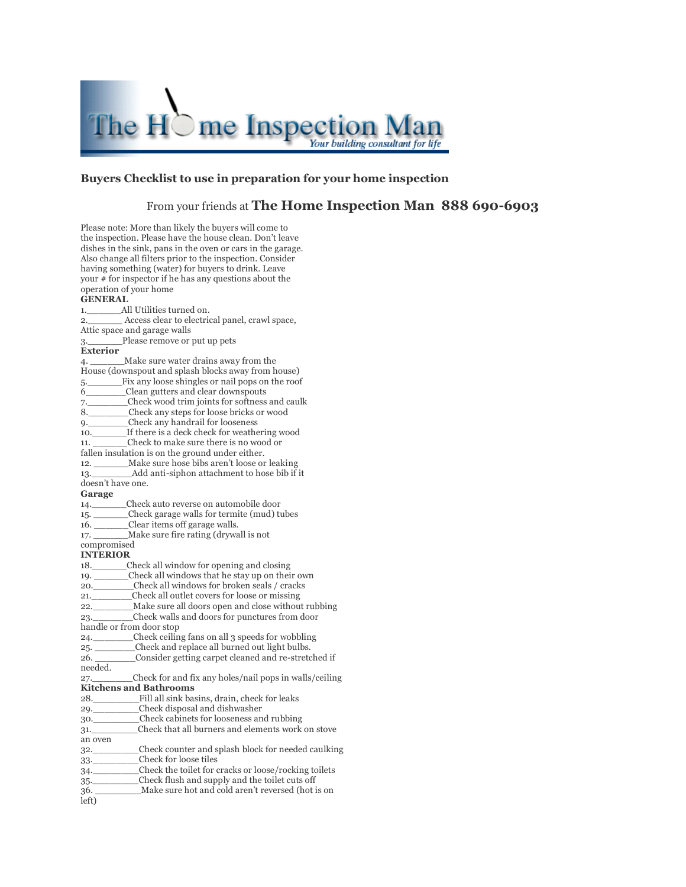

#### **Buyers Checklist to use in preparation for your home inspection**

#### From your friends at **The Home Inspection Man 888 690-6903**

Please note: More than likely the buyers will come to the inspection. Please have the house clean. Don't leave dishes in the sink, pans in the oven or cars in the garage. Also change all filters prior to the inspection. Consider having something (water) for buyers to drink. Leave your # for inspector if he has any questions about the operation of your home **GENERAL** 1.\_\_\_\_\_\_All Utilities turned on. 2.\_\_\_\_\_\_ Access clear to electrical panel, crawl space, Attic space and garage walls Please remove or put up pets **Exterior** 4. Make sure water drains away from the House (downspout and splash blocks away from house) 5.\_\_\_\_\_\_Fix any loose shingles or nail pops on the roof 6\_\_\_\_\_\_\_Clean gutters and clear downspouts 7.\_\_\_\_\_\_\_\_\_\_\_Check wood trim joints for softness and caulk 8. Check any steps for loose bricks or wood 9. Check any handrail for looseness 10.\_\_\_\_\_\_If there is a deck check for weathering wood 11. \_\_\_\_\_\_Check to make sure there is no wood or fallen insulation is on the ground under either. 12. \_\_\_\_\_\_Make sure hose bibs aren't loose or leaking 13. Add anti-siphon attachment to hose bib if it doesn't have one. **Garage** 14.\_\_\_\_\_\_Check auto reverse on automobile door 15. Check garage walls for termite (mud) tubes 16. \_\_\_\_\_\_Clear items off garage walls. 17. \_\_\_\_\_\_Make sure fire rating (drywall is not compromised **INTERIOR** 18. Check all window for opening and closing 19. Check all windows that he stay up on their own 20.\_\_\_\_\_\_\_Check all windows for broken seals / cracks 21.\_\_\_\_\_\_\_Check all outlet covers for loose or missing 22. Make sure all doors open and close without rubbing 23.\_\_\_\_\_\_\_Check walls and doors for punctures from door handle or from door stop 24.\_\_\_\_\_\_\_Check ceiling fans on all 3 speeds for wobbling 25. \_\_\_\_\_\_\_Check and replace all burned out light bulbs. Consider getting carpet cleaned and re-stretched if needed. 27.\_\_\_\_\_\_\_Check for and fix any holes/nail pops in walls/ceiling **Kitchens and Bathrooms** 28. Fill all sink basins, drain, check for leaks 29.\_\_\_\_\_\_\_\_Check disposal and dishwasher 30.\_\_\_\_\_\_\_\_Check cabinets for looseness and rubbing 31.\_\_\_\_\_\_\_\_Check that all burners and elements work on stove an oven 32.\_\_\_\_\_\_\_\_Check counter and splash block for needed caulking 33. Check for loose tiles 34.\_\_\_\_\_\_\_\_Check the toilet for cracks or loose/rocking toilets 35.\_\_\_\_\_\_\_\_Check flush and supply and the toilet cuts off 36. \_\_\_\_\_\_\_\_Make sure hot and cold aren't reversed (hot is on left)